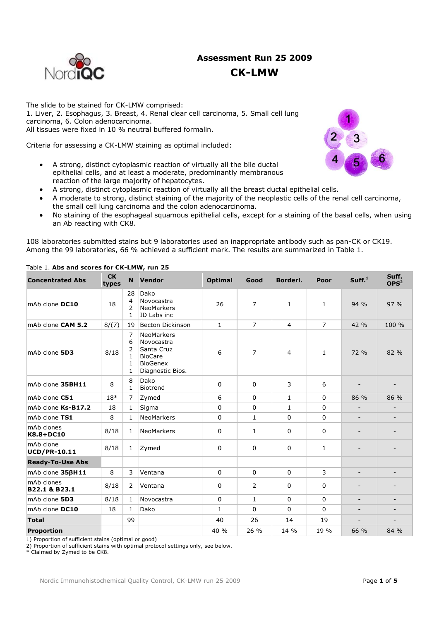# **Assessment Run 25 2009 CK-LMW**



The slide to be stained for CK-LMW comprised: 1. Liver, 2. Esophagus, 3. Breast, 4. Renal clear cell carcinoma, 5. Small cell lung carcinoma, 6. Colon adenocarcinoma. All tissues were fixed in 10 % neutral buffered formalin.

Criteria for assessing a CK-LMW staining as optimal included:

- A strong, distinct cytoplasmic reaction of virtually all the bile ductal epithelial cells, and at least a moderate, predominantly membranous reaction of the large majority of hepatocytes.
- A strong, distinct cytoplasmic reaction of virtually all the breast ductal epithelial cells.
- A moderate to strong, distinct staining of the majority of the neoplastic cells of the renal cell carcinoma, the small cell lung carcinoma and the colon adenocarcinoma.
- No staining of the esophageal squamous epithelial cells, except for a staining of the basal cells, when using an Ab reacting with CK8.

108 laboratories submitted stains but 9 laboratories used an inappropriate antibody such as pan-CK or CK19. Among the 99 laboratories, 66 % achieved a sufficient mark. The results are summarized in Table 1.

| <b>Concentrated Abs</b>          | <b>CK</b><br>types                                                    |                                                        | N Vendor                                                                                               | <b>Optimal</b> | Good           | Borderl.       | Poor           | Suff. <sup>1</sup>       | Suff.<br>OPS <sup>2</sup>    |
|----------------------------------|-----------------------------------------------------------------------|--------------------------------------------------------|--------------------------------------------------------------------------------------------------------|----------------|----------------|----------------|----------------|--------------------------|------------------------------|
| mAb clone DC10                   | 18                                                                    | 28<br>$\overline{4}$<br>$\overline{2}$<br>$\mathbf{1}$ | Dako<br>Novocastra<br><b>NeoMarkers</b><br>ID Labs inc                                                 | 26             | 7              | 1              | $\mathbf{1}$   | 94 %                     | 97 %                         |
| mAb clone CAM 5.2                | 8/(7)                                                                 | 19                                                     | <b>Becton Dickinson</b>                                                                                | $\mathbf{1}$   | $\overline{7}$ | $\overline{4}$ | $\overline{7}$ | 42 %                     | 100 %                        |
| mAb clone 5D3                    | 7<br>6<br>$\overline{2}$<br>8/18<br>$\mathbf{1}$<br>1<br>$\mathbf{1}$ |                                                        | <b>NeoMarkers</b><br>Novocastra<br>Santa Cruz<br><b>BioCare</b><br><b>BioGenex</b><br>Diagnostic Bios. | 6              | 7              | $\overline{4}$ | $\mathbf{1}$   | 72 %                     | 82 %                         |
| mAb clone 35BH11                 | 8                                                                     | 8<br>$\mathbf{1}$                                      | Dako<br>Biotrend                                                                                       | $\mathbf 0$    | $\mathbf 0$    | 3              | 6              |                          |                              |
| mAb clone C51                    | $18*$                                                                 | $\overline{7}$                                         | Zymed                                                                                                  | 6              | $\mathbf 0$    | $\mathbf{1}$   | $\Omega$       | 86 %                     | 86 %                         |
| mAb clone Ks-B17.2               | 18                                                                    | $\mathbf{1}$                                           | Sigma                                                                                                  | $\mathbf 0$    | 0              | $\mathbf{1}$   | $\Omega$       |                          |                              |
| mAb clone TS1                    | 8                                                                     | $\mathbf{1}$                                           | <b>NeoMarkers</b>                                                                                      | $\mathbf{0}$   | $\mathbf{1}$   | $\Omega$       | $\Omega$       |                          |                              |
| mAb clones<br>K8.8+DC10          | 8/18                                                                  | $\mathbf{1}$                                           | NeoMarkers                                                                                             | 0              | 1              | 0              | 0              |                          |                              |
| mAb clone<br><b>UCD/PR-10.11</b> | 8/18                                                                  | $\mathbf{1}$                                           | Zymed                                                                                                  | $\mathbf 0$    | $\mathbf 0$    | $\mathbf 0$    | $\mathbf{1}$   | $\qquad \qquad -$        |                              |
| <b>Ready-To-Use Abs</b>          |                                                                       |                                                        |                                                                                                        |                |                |                |                |                          |                              |
| mAb clone 356H11                 | 8                                                                     | 3                                                      | Ventana                                                                                                | $\mathbf 0$    | $\mathbf 0$    | $\mathbf{0}$   | 3              | $\overline{\phantom{a}}$ | $\qquad \qquad \blacksquare$ |
| mAb clones<br>B22.1 & B23.1      | 8/18                                                                  | 2                                                      | Ventana                                                                                                | $\mathbf 0$    | 2              | $\mathbf{0}$   | 0              |                          |                              |
| mAb clone 5D3                    | 8/18                                                                  | $\mathbf{1}$                                           | Novocastra                                                                                             | $\mathbf 0$    | $\mathbf{1}$   | 0              | 0              | $\overline{\phantom{a}}$ | $\overline{\phantom{a}}$     |
| mAb clone DC10                   | 18                                                                    | $\mathbf{1}$                                           | Dako                                                                                                   | $\mathbf{1}$   | $\Omega$       | $\Omega$       | $\Omega$       | $\qquad \qquad -$        |                              |
| <b>Total</b>                     |                                                                       | 99                                                     |                                                                                                        | 40             | 26             | 14             | 19             |                          |                              |
| <b>Proportion</b>                |                                                                       |                                                        |                                                                                                        | 40 %           | 26 %           | 14 %           | 19 %           | 66 %                     | 84 %                         |

### Table 1. **Abs and scores for CK-LMW, run 25**

1) Proportion of sufficient stains (optimal or good)

2) Proportion of sufficient stains with optimal protocol settings only, see below.

\* Claimed by Zymed to be CK8.

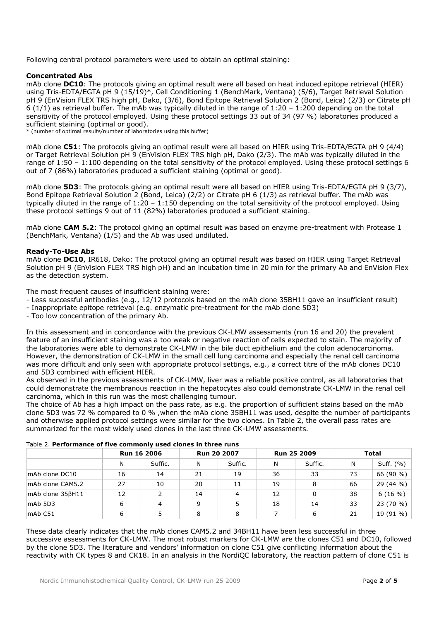Following central protocol parameters were used to obtain an optimal staining:

#### **Concentrated Abs**

mAb clone **DC10**: The protocols giving an optimal result were all based on heat induced epitope retrieval (HIER) using Tris-EDTA/EGTA pH 9 (15/19)\*, Cell Conditioning 1 (BenchMark, Ventana) (5/6), Target Retrieval Solution pH 9 (EnVision FLEX TRS high pH, Dako, (3/6), Bond Epitope Retrieval Solution 2 (Bond, Leica) (2/3) or Citrate pH 6 (1/1) as retrieval buffer. The mAb was typically diluted in the range of  $1:20 - 1:200$  depending on the total sensitivity of the protocol employed. Using these protocol settings 33 out of 34 (97 %) laboratories produced a sufficient staining (optimal or good).

\* (number of optimal results/number of laboratories using this buffer)

mAb clone **C51**: The protocols giving an optimal result were all based on HIER using Tris-EDTA/EGTA pH 9 (4/4) or Target Retrieval Solution pH 9 (EnVision FLEX TRS high pH, Dako (2/3). The mAb was typically diluted in the range of 1:50 – 1:100 depending on the total sensitivity of the protocol employed. Using these protocol settings 6 out of 7 (86%) laboratories produced a sufficient staining (optimal or good).

mAb clone **5D3**: The protocols giving an optimal result were all based on HIER using Tris-EDTA/EGTA pH 9 (3/7), Bond Epitope Retrieval Solution 2 (Bond, Leica) (2/2) or Citrate pH 6 (1/3) as retrieval buffer. The mAb was typically diluted in the range of 1:20 – 1:150 depending on the total sensitivity of the protocol employed. Using these protocol settings 9 out of 11 (82%) laboratories produced a sufficient staining.

mAb clone **CAM 5.2**: The protocol giving an optimal result was based on enzyme pre-treatment with Protease 1 (BenchMark, Ventana) (1/5) and the Ab was used undiluted.

#### **Ready-To-Use Abs**

mAb clone **DC10**, IR618, Dako: The protocol giving an optimal result was based on HIER using Target Retrieval Solution pH 9 (EnVision FLEX TRS high pH) and an incubation time in 20 min for the primary Ab and EnVision Flex as the detection system.

The most frequent causes of insufficient staining were:

- Less successful antibodies (e.g., 12/12 protocols based on the mAb clone 35BH11 gave an insufficient result)
- Inappropriate epitope retrieval (e.g. enzymatic pre-treatment for the mAb clone 5D3)
- Too low concentration of the primary Ab.

In this assessment and in concordance with the previous CK-LMW assessments (run 16 and 20) the prevalent feature of an insufficient staining was a too weak or negative reaction of cells expected to stain. The majority of the laboratories were able to demonstrate CK-LMW in the bile duct epithelium and the colon adenocarcinoma. However, the demonstration of CK-LMW in the small cell lung carcinoma and especially the renal cell carcinoma was more difficult and only seen with appropriate protocol settings, e.g., a correct titre of the mAb clones DC10 and 5D3 combined with efficient HIER.

As observed in the previous assessments of CK-LMW, liver was a reliable positive control, as all laboratories that could demonstrate the membranous reaction in the hepatocytes also could demonstrate CK-LMW in the renal cell carcinoma, which in this run was the most challenging tumour.

The choice of Ab has a high impact on the pass rate, as e.g. the proportion of sufficient stains based on the mAb clone 5D3 was 72 % compared to 0 % ,when the mAb clone 35BH11 was used, despite the number of participants and otherwise applied protocol settings were similar for the two clones. In Table 2, the overall pass rates are summarized for the most widely used clones in the last three CK-LMW assessments.

|                   | <b>Run 16 2006</b> |         | <b>Run 20 2007</b> |         | Run 25 2009 |         | <b>Total</b> |           |
|-------------------|--------------------|---------|--------------------|---------|-------------|---------|--------------|-----------|
|                   | N                  | Suffic. | N                  | Suffic. | N           | Suffic. | N            | Suff. (%) |
| mAb clone DC10    | 16                 | 14      | 21                 | 19      | 36          | 33      | 73           | 66 (90 %) |
| mAb clone CAM5.2  | 27                 | 10      | 20                 | 11      | 19          | 8       | 66           | 29 (44 %) |
| mAb clone 35βH11  | 12                 | 2       | 14                 | 4       | 12          | 0       | 38           | 6(16%)    |
| $mAb$ 5D3         | 6                  | 4       | 9                  |         | 18          | 14      | 33           | 23 (70 %) |
| mAb <sub>CI</sub> | 6                  |         | 8                  | 8       |             | 6       | 21           | 19 (91 %) |

Table 2. **Performance of five commonly used clones in three runs**

These data clearly indicates that the mAb clones CAM5.2 and 34BH11 have been less successful in three successive assessments for CK-LMW. The most robust markers for CK-LMW are the clones C51 and DC10, followed by the clone 5D3. The literature and vendors' information on clone C51 give conflicting information about the reactivity with CK types 8 and CK18. In an analysis in the NordiQC laboratory, the reaction pattern of clone C51 is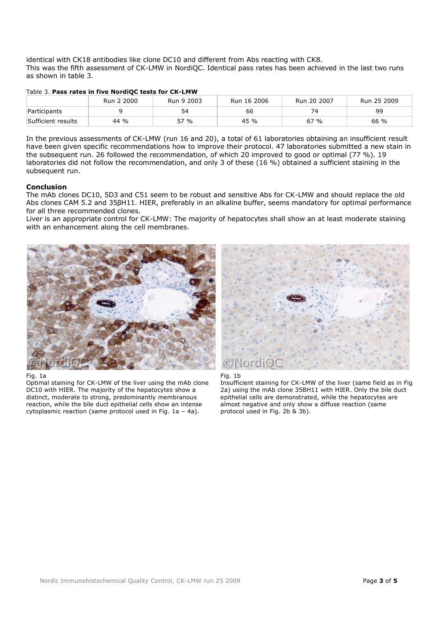identical with CK18 antibodies like clone DC10 and different from Abs reacting with CK8. This was the fifth assessment of CK-LMW in NordiQC. Identical pass rates has been achieved in the last two runs as shown in table 3.

|  |  |  |  | Table 3. Pass rates in five NordiQC tests for CK-LMW |
|--|--|--|--|------------------------------------------------------|
|  |  |  |  |                                                      |

|                    | Run 2 2000 | Run 9 2003 | Run 16 2006 | Run 20 2007 | Run 25 2009 |
|--------------------|------------|------------|-------------|-------------|-------------|
| Participants       |            | 54         | 66          | 74          | 99          |
| Sufficient results | 44 %       | 57 %       | 45 %        | 67%         | 66 %        |

In the previous assessments of CK-LMW (run 16 and 20), a total of 61 laboratories obtaining an insufficient result have been given specific recommendations how to improve their protocol. 47 laboratories submitted a new stain in the subsequent run. 26 followed the recommendation, of which 20 improved to good or optimal (77 %). 19 laboratories did not follow the recommendation, and only 3 of these (16 %) obtained a sufficient staining in the subsequent run.

#### **Conclusion**

The mAb clones DC10, 5D3 and C51 seem to be robust and sensitive Abs for CK-LMW and should replace the old Abs clones CAM 5.2 and 35βH11. HIER, preferably in an alkaline buffer, seems mandatory for optimal performance for all three recommended clones.

Liver is an appropriate control for CK-LMW: The majority of hepatocytes shall show an at least moderate staining with an enhancement along the cell membranes.



Fig. 1a

Optimal staining for CK-LMW of the liver using the mAb clone DC10 with HIER. The majority of the hepatocytes show a distinct, moderate to strong, predominantly membranous reaction, while the bile duct epithelial cells show an intense cytoplasmic reaction (same protocol used in Fig. 1a – 4a).



Fig. 1b

Insufficient staining for CK-LMW of the liver (same field as in Fig 2a) using the mAb clone 35BH11 with HIER. Only the bile duct epithelial cells are demonstrated, while the hepatocytes are almost negative and only show a diffuse reaction (same protocol used in Fig. 2b & 3b).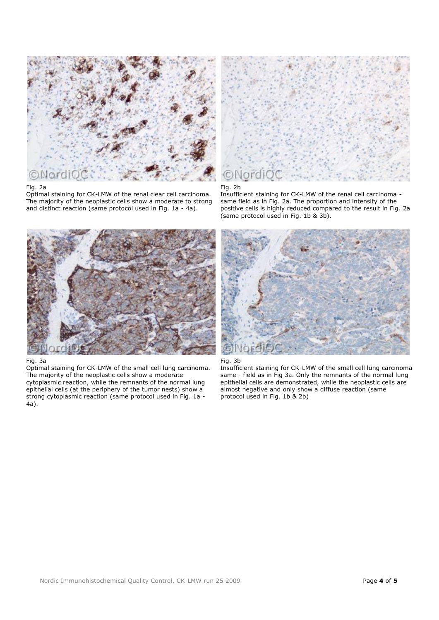

## Fig. 2a

Optimal staining for CK-LMW of the renal clear cell carcinoma. The majority of the neoplastic cells show a moderate to strong and distinct reaction (same protocol used in Fig. 1a - 4a).



#### Fig. 2b

Insufficient staining for CK-LMW of the renal cell carcinoma same field as in Fig. 2a. The proportion and intensity of the positive cells is highly reduced compared to the result in Fig. 2a (same protocol used in Fig. 1b & 3b).



# Fig. 3a

Optimal staining for CK-LMW of the small cell lung carcinoma. The majority of the neoplastic cells show a moderate cytoplasmic reaction, while the remnants of the normal lung epithelial cells (at the periphery of the tumor nests) show a strong cytoplasmic reaction (same protocol used in Fig. 1a - 4a).





Insufficient staining for CK-LMW of the small cell lung carcinoma same - field as in Fig 3a. Only the remnants of the normal lung epithelial cells are demonstrated, while the neoplastic cells are almost negative and only show a diffuse reaction (same protocol used in Fig. 1b & 2b)